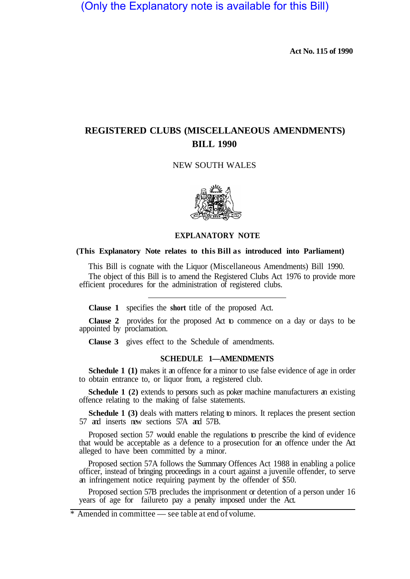(Only the Explanatory note is available for this Bill)

**Act No. 115 of 1990** 

# **REGISTERED CLUBS (MISCELLANEOUS AMENDMENTS) BILL 1990**

## NEW SOUTH WALES



## **EXPLANATORY NOTE**

#### **(This Explanatory Note relates to this Bill as introduced into Parliament)**

This Bill is cognate with the Liquor (Miscellaneous Amendments) Bill 1990. The object of this Bill is to amend the Registered Clubs Act 1976 to provide more efficient procedures for the administration of registered clubs.

**Clause 1** specifies the **short** title of the proposed Act.

**Clause 2** provides for the proposed Act to commence on a day or days to be appointed by proclamation.

**Clause 3** gives effect to the Schedule of amendments.

## **SCHEDULE 1—AMENDMENTS**

**Schedule 1 (1)** makes it an offence for a minor to use false evidence of age in order to obtain entrance to, or liquor from, a registered club.

**Schedule 1 (2)** extends to persons such as poker machine manufacturers an existing offence relating to the making of false statements.

**Schedule 1 (3)** deals with matters relating to minors. It replaces the present section 57 and inserts new sections 57A and 57B.

Proposed section 57 would enable the regulations to prescribe the kind of evidence that would be acceptable as a defence to a prosecution for an offence under the Act alleged to have been committed by a minor.

Proposed section 57A follows the Summary Offences Act 1988 in enabling a police officer, instead of bringing proceedings in a court against a juvenile offender, to serve an infringement notice requiring payment by the offender of \$50.

years of age for failureto pay a penalty imposed under the Act. Proposed section 57B precludes the imprisonment or detention of a person under 16

# $*$  Amended in committee — see table at end of volume.